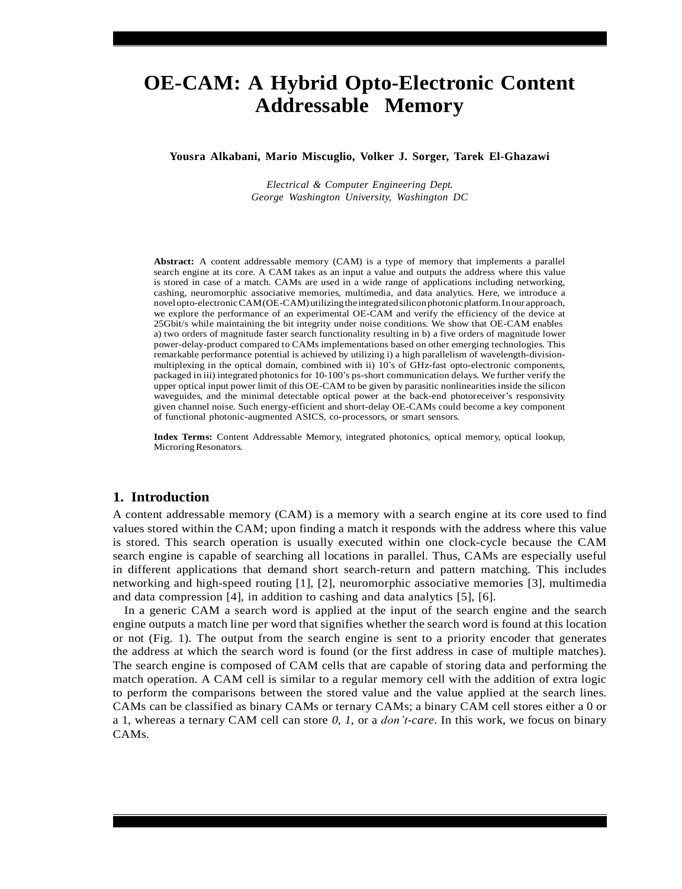# **OE-CAM: A Hybrid Opto-Electronic Content Addressable Memory**

**Yousra Alkabani, Mario Miscuglio, Volker J. Sorger, Tarek El-Ghazawi**

*Electrical & Computer Engineering Dept. George Washington University, Washington DC*

**Abstract:** A content addressable memory (CAM) is a type of memory that implements a parallel search engine at its core. A CAM takes as an input a value and outputs the address where this value is stored in case of a match. CAMs are used in a wide range of applications including networking, cashing, neuromorphic associative memories, multimedia, and data analytics. Here, we introduce a novel opto-electronicCAM(OE-CAM) utilizingtheintegratedsiliconphotonicplatform.Inour approach, we explore the performance of an experimental OE-CAM and verify the efficiency of the device at 25Gbit/s while maintaining the bit integrity under noise conditions. We show that OE-CAM enables a) two orders of magnitude faster search functionality resulting in b) a five orders of magnitude lower power-delay-product compared to CAMs implementations based on other emerging technologies. This remarkable performance potential is achieved by utilizing i) a high parallelism of wavelength-divisionmultiplexing in the optical domain, combined with ii) 10's of GHz-fast opto-electronic components, packaged in iii) integrated photonics for 10-100's ps-short communication delays. We further verify the upper optical input power limit of this OE-CAM to be given by parasitic nonlinearities inside the silicon waveguides, and the minimal detectable optical power at the back-end photoreceiver's responsivity given channel noise. Such energy-efficient and short-delay OE-CAMs could become a key component of functional photonic-augmented ASICS, co-processors, or smart sensors.

**Index Terms:** Content Addressable Memory, integrated photonics, optical memory, optical lookup, Microring Resonators.

#### **1. Introduction**

A content addressable memory (CAM) is a memory with a search engine at its core used to find values stored within the CAM; upon finding a match it responds with the address where this value is stored. This search operation is usually executed within one clock-cycle because the CAM search engine is capable of searching all locations in parallel. Thus, CAMs are especially useful in different applications that demand short search-return and pattern matching. This includes networking and high-speed routing [1], [2], neuromorphic associative memories [3], multimedia and data compression [4], in addition to cashing and data analytics [5], [6].

In a generic CAM a search word is applied at the input of the search engine and the search engine outputs a match line per word that signifies whether the search word is found at this location or not (Fig. 1). The output from the search engine is sent to a priority encoder that generates the address at which the search word is found (or the first address in case of multiple matches). The search engine is composed of CAM cells that are capable of storing data and performing the match operation. A CAM cell is similar to a regular memory cell with the addition of extra logic to perform the comparisons between the stored value and the value applied at the search lines. CAMs can be classified as binary CAMs or ternary CAMs; a binary CAM cell stores either a 0 or a 1, whereas a ternary CAM cell can store *0*, *1*, or a *don't-care*. In this work, we focus on binary CAMs.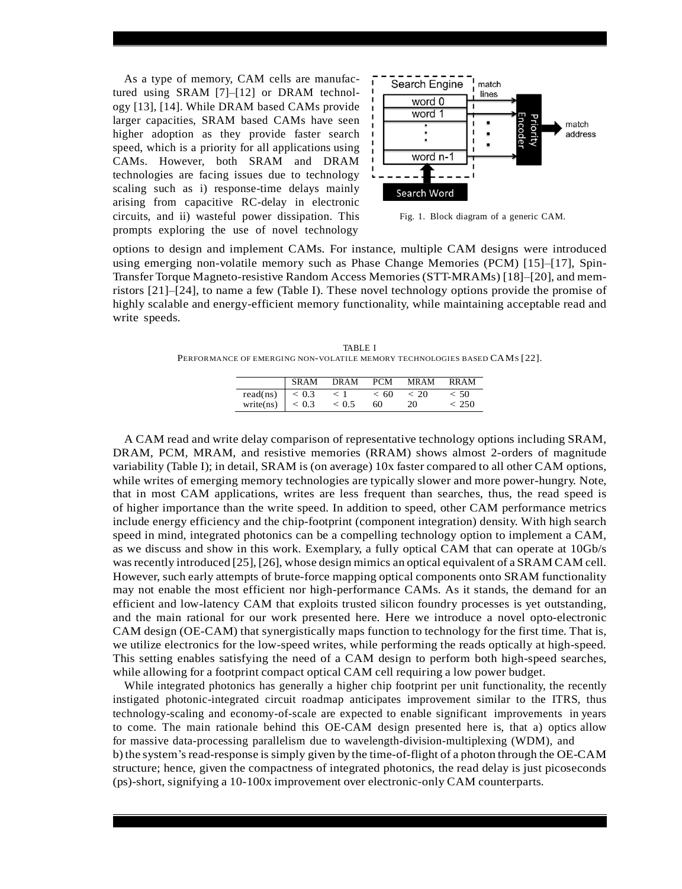As a type of memory, CAM cells are manufactured using SRAM [7]–[12] or DRAM technology [13], [14]. While DRAM based CAMs provide larger capacities, SRAM based CAMs have seen higher adoption as they provide faster search speed, which is a priority for all applications using CAMs. However, both SRAM and DRAM technologies are facing issues due to technology scaling such as i) response-time delays mainly arising from capacitive RC-delay in electronic circuits, and ii) wasteful power dissipation. This prompts exploring the use of novel technology



Fig. 1. Block diagram of a generic CAM.

options to design and implement CAMs. For instance, multiple CAM designs were introduced using emerging non-volatile memory such as Phase Change Memories (PCM) [15]–[17], Spin-Transfer Torque Magneto-resistive Random Access Memories (STT-MRAMs) [18]–[20], and memristors [21]–[24], to name a few (Table I). These novel technology options provide the promise of highly scalable and energy-efficient memory functionality, while maintaining acceptable read and write speeds.

TABLE I PERFORMANCE OF EMERGING NON-VOLATILE MEMORY TECHNOLOGIES BASED CAMS [22].

|                    | <b>SRAM</b>   | DRAM        | <b>PCM</b> | <b>MRAM</b> | <b>RRAM</b> |
|--------------------|---------------|-------------|------------|-------------|-------------|
| read(ns) $ $ < 0.3 |               | $\langle$ 1 | <60        | ~<~20       | < 50        |
| write(ns)          | $\vert < 0.3$ | ${}< 0.5$   | 60         | 20          | ~<~250      |

A CAM read and write delay comparison of representative technology options including SRAM, DRAM, PCM, MRAM, and resistive memories (RRAM) shows almost 2-orders of magnitude variability (Table I); in detail, SRAM is (on average) 10x faster compared to all other CAM options, while writes of emerging memory technologies are typically slower and more power-hungry. Note, that in most CAM applications, writes are less frequent than searches, thus, the read speed is of higher importance than the write speed. In addition to speed, other CAM performance metrics include energy efficiency and the chip-footprint (component integration) density. With high search speed in mind, integrated photonics can be a compelling technology option to implement a CAM, as we discuss and show in this work. Exemplary, a fully optical CAM that can operate at 10Gb/s was recently introduced [25], [26], whose design mimics an optical equivalent of a SRAM CAM cell. However, such early attempts of brute-force mapping optical components onto SRAM functionality may not enable the most efficient nor high-performance CAMs. As it stands, the demand for an efficient and low-latency CAM that exploits trusted silicon foundry processes is yet outstanding, and the main rational for our work presented here. Here we introduce a novel opto-electronic CAM design (OE-CAM) that synergistically maps function to technology for the first time. That is, we utilize electronics for the low-speed writes, while performing the reads optically at high-speed. This setting enables satisfying the need of a CAM design to perform both high-speed searches, while allowing for a footprint compact optical CAM cell requiring a low power budget.

While integrated photonics has generally a higher chip footprint per unit functionality, the recently instigated photonic-integrated circuit roadmap anticipates improvement similar to the ITRS, thus technology-scaling and economy-of-scale are expected to enable significant improvements in years to come. The main rationale behind this OE-CAM design presented here is, that a) optics allow for massive data-processing parallelism due to wavelength-division-multiplexing (WDM), and b)the system's read-response is simply given by the time-of-flight of a photon through the OE-CAM structure; hence, given the compactness of integrated photonics, the read delay is just picoseconds (ps)-short, signifying a 10-100x improvement over electronic-only CAM counterparts.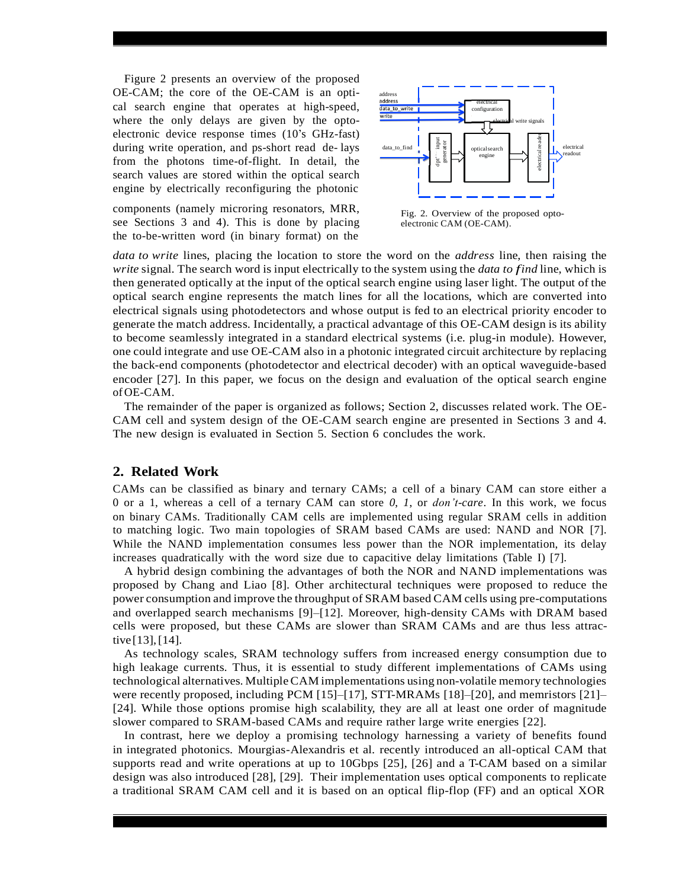Figure 2 presents an overview of the proposed OE-CAM; the core of the OE-CAM is an optical search engine that operates at high-speed, where the only delays are given by the optoelectronic device response times (10's GHz-fast) during write operation, and ps-short read de- lays from the photons time-of-flight. In detail, the search values are stored within the optical search engine by electrically reconfiguring the photonic

components (namely microring resonators, MRR, see Sections 3 and 4). This is done by placing the to-be-written word (in binary format) on the



Fig. 2. Overview of the proposed optoelectronic CAM (OE-CAM).

*data to write* lines, placing the location to store the word on the *address* line, then raising the *write* signal. The search word is input electrically to the system using the *data to find* line, which is then generated optically at the input of the optical search engine using laser light. The output of the optical search engine represents the match lines for all the locations, which are converted into electrical signals using photodetectors and whose output is fed to an electrical priority encoder to generate the match address. Incidentally, a practical advantage of this OE-CAM design is its ability to become seamlessly integrated in a standard electrical systems (i.e. plug-in module). However, one could integrate and use OE-CAM also in a photonic integrated circuit architecture by replacing the back-end components (photodetector and electrical decoder) with an optical waveguide-based encoder [27]. In this paper, we focus on the design and evaluation of the optical search engine ofOE-CAM.

The remainder of the paper is organized as follows; Section 2, discusses related work. The OE-CAM cell and system design of the OE-CAM search engine are presented in Sections 3 and 4. The new design is evaluated in Section 5. Section 6 concludes the work.

## **2. Related Work**

CAMs can be classified as binary and ternary CAMs; a cell of a binary CAM can store either a 0 or a 1, whereas a cell of a ternary CAM can store *0*, *1*, or *don't-care*. In this work, we focus on binary CAMs. Traditionally CAM cells are implemented using regular SRAM cells in addition to matching logic. Two main topologies of SRAM based CAMs are used: NAND and NOR [7]. While the NAND implementation consumes less power than the NOR implementation, its delay increases quadratically with the word size due to capacitive delay limitations (Table I) [7].

A hybrid design combining the advantages of both the NOR and NAND implementations was proposed by Chang and Liao [8]. Other architectural techniques were proposed to reduce the power consumption and improve the throughput of SRAM based CAM cells using pre-computations and overlapped search mechanisms [9]–[12]. Moreover, high-density CAMs with DRAM based cells were proposed, but these CAMs are slower than SRAM CAMs and are thus less attractive [13],[14].

As technology scales, SRAM technology suffers from increased energy consumption due to high leakage currents. Thus, it is essential to study different implementations of CAMs using technological alternatives. MultipleCAM implementations using non-volatile memory technologies were recently proposed, including PCM [15]–[17], STT-MRAMs [18]–[20], and memristors [21]– [24]. While those options promise high scalability, they are all at least one order of magnitude slower compared to SRAM-based CAMs and require rather large write energies [22].

In contrast, here we deploy a promising technology harnessing a variety of benefits found in integrated photonics. Mourgias-Alexandris et al. recently introduced an all-optical CAM that supports read and write operations at up to 10Gbps [25], [26] and a T-CAM based on a similar design was also introduced [28], [29]. Their implementation uses optical components to replicate a traditional SRAM CAM cell and it is based on an optical flip-flop (FF) and an optical XOR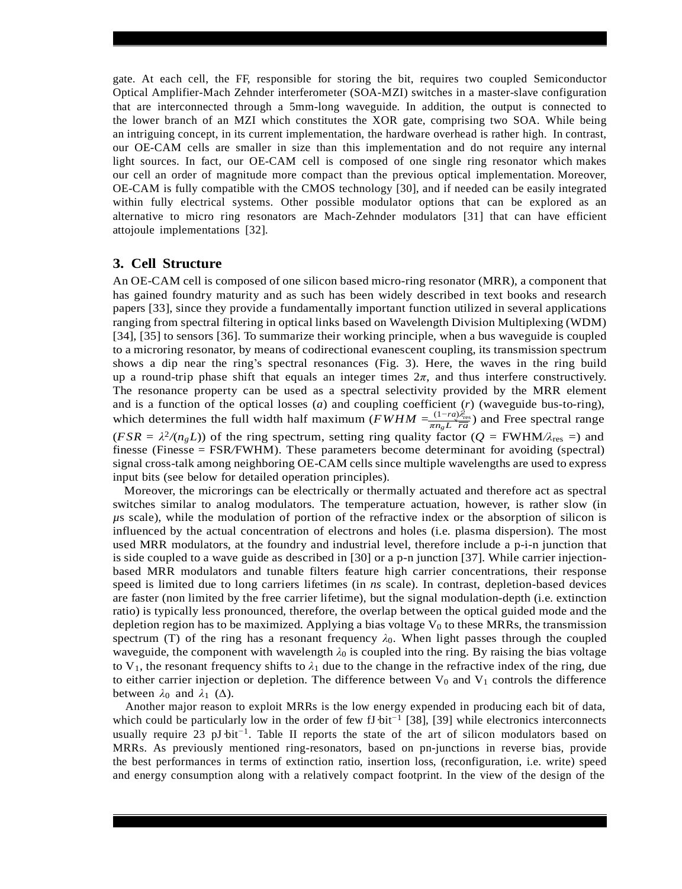gate. At each cell, the FF, responsible for storing the bit, requires two coupled Semiconductor Optical Amplifier-Mach Zehnder interferometer (SOA-MZI) switches in a master-slave configuration that are interconnected through a 5mm-long waveguide. In addition, the output is connected to the lower branch of an MZI which constitutes the XOR gate, comprising two SOA. While being an intriguing concept, in its current implementation, the hardware overhead is rather high. In contrast, our OE-CAM cells are smaller in size than this implementation and do not require any internal light sources. In fact, our OE-CAM cell is composed of one single ring resonator which makes our cell an order of magnitude more compact than the previous optical implementation. Moreover, OE-CAM is fully compatible with the CMOS technology [30], and if needed can be easily integrated within fully electrical systems. Other possible modulator options that can be explored as an alternative to micro ring resonators are Mach-Zehnder modulators [31] that can have efficient attojoule implementations [32].

## **3. Cell Structure**

2 which determines the full width half maximum (*FWHM*  $=\frac{(1 - ra)\lambda_{res}^2}{\pi n_g L \overline{ra}}$ ) and Free spectral range An OE-CAM cell is composed of one silicon based micro-ring resonator (MRR), a component that has gained foundry maturity and as such has been widely described in text books and research papers [33], since they provide a fundamentally important function utilized in several applications ranging from spectral filtering in optical links based on Wavelength Division Multiplexing (WDM) [34], [35] to sensors [36]. To summarize their working principle, when a bus waveguide is coupled to a microring resonator, by means of codirectional evanescent coupling, its transmission spectrum shows a dip near the ring's spectral resonances (Fig. 3). Here, the waves in the ring build up a round-trip phase shift that equals an integer times  $2\pi$ , and thus interfere constructively. The resonance property can be used as a spectral selectivity provided by the MRR element and is a function of the optical losses (*a*) and coupling coefficient (*r*) (waveguide bus-to-ring),  $(FSR = \lambda^2/(n_gL))$  of the ring spectrum, setting ring quality factor ( $Q = FWHM/\lambda_{res} =$ ) and finesse (Finesse = FSR*/*FWHM). These parameters become determinant for avoiding (spectral) signal cross-talk among neighboring OE-CAM cells since multiple wavelengths are used to express input bits (see below for detailed operation principles).

Moreover, the microrings can be electrically or thermally actuated and therefore act as spectral switches similar to analog modulators. The temperature actuation, however, is rather slow (in *µ*s scale), while the modulation of portion of the refractive index or the absorption of silicon is influenced by the actual concentration of electrons and holes (i.e. plasma dispersion). The most used MRR modulators, at the foundry and industrial level, therefore include a p-i-n junction that is side coupled to a wave guide as described in [30] or a p-n junction [37]. While carrier injectionbased MRR modulators and tunable filters feature high carrier concentrations, their response speed is limited due to long carriers lifetimes (in *ns* scale). In contrast, depletion-based devices are faster (non limited by the free carrier lifetime), but the signal modulation-depth (i.e. extinction ratio) is typically less pronounced, therefore, the overlap between the optical guided mode and the depletion region has to be maximized. Applying a bias voltage  $V_0$  to these MRRs, the transmission spectrum (T) of the ring has a resonant frequency  $\lambda_0$ . When light passes through the coupled waveguide, the component with wavelength  $\lambda_0$  is coupled into the ring. By raising the bias voltage to  $V_1$ , the resonant frequency shifts to  $\lambda_1$  due to the change in the refractive index of the ring, due to either carrier injection or depletion. The difference between  $V_0$  and  $V_1$  controls the difference between  $\lambda_0$  and  $\lambda_1$  ( $\Delta$ ).

Another major reason to exploit MRRs is the low energy expended in producing each bit of data, which could be particularly low in the order of few fJ·bit*<sup>−</sup>*<sup>1</sup> [38], [39] while electronics interconnects usually require 23 pJ·bit*<sup>−</sup>*<sup>1</sup> . Table II reports the state of the art of silicon modulators based on MRRs. As previously mentioned ring-resonators, based on pn-junctions in reverse bias, provide the best performances in terms of extinction ratio, insertion loss, (reconfiguration, i.e. write) speed and energy consumption along with a relatively compact footprint. In the view of the design of the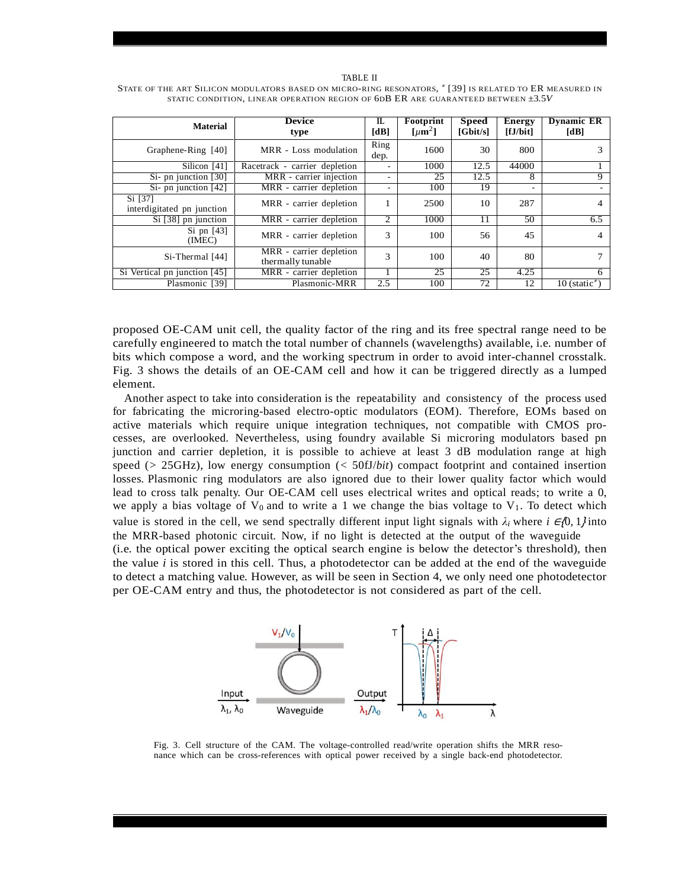| <b>Material</b>                       | <b>Device</b><br>type                                            | $\Pi$<br>[dB]  | Footprint<br>[ $\mu$ m <sup>2</sup> ] | <b>Speed</b><br>[Gbit/s] | <b>Energy</b><br>[fJ/bit] | <b>Dynamic ER</b><br>[dB]   |
|---------------------------------------|------------------------------------------------------------------|----------------|---------------------------------------|--------------------------|---------------------------|-----------------------------|
| Graphene-Ring [40]                    | MRR - Loss modulation                                            | Ring<br>dep.   | 1600                                  | 30                       | 800                       |                             |
| Silicon [41]                          | Racetrack - carrier depletion                                    |                | 1000                                  | 12.5                     | 44000                     |                             |
| Si- pn junction [30]                  | MRR - carrier injection                                          |                | 25                                    | 12.5                     | 8                         | 9                           |
| Si- pn junction $[42]$                | MRR - carrier depletion                                          |                | 100                                   | 19                       |                           | $\sim$                      |
| Si [37]<br>interdigitated pn junction | MRR - carrier depletion                                          |                | 2500                                  | 10                       | 287                       | 4                           |
| Si [38] pn junction                   | MRR - carrier depletion                                          | $\overline{c}$ | 1000                                  | 11                       | 50                        | 6.5                         |
| Si pn $[43]$<br>(IMEC)                | MRR - carrier depletion                                          | 3              | 100                                   | 56                       | 45                        | 4                           |
| $Si$ -Thermal $[44]$                  | $\overline{\text{MRR}}$ - carrier depletion<br>thermally tunable | 3              | 100                                   | 40                       | 80                        |                             |
| Si Vertical pn junction [45]          | MRR - carrier depletion                                          |                | 25                                    | 25                       | 4.25                      | 6                           |
| Plasmonic [39]                        | Plasmonic-MRR                                                    | 2.5            | 100                                   | 72                       | 12                        | $10$ (static <sup>*</sup> ) |

STATE OF THE ART SILICON MODULATORS BASED ON MICRO-RING RESONATORS, \* [39] IS RELATED TO ER MEASURED IN STATIC CONDITION, LINEAR OPERATION REGION OF 6DB ER ARE GUARANTEED BETWEEN *±*3*.*5*V*

proposed OE-CAM unit cell, the quality factor of the ring and its free spectral range need to be carefully engineered to match the total number of channels (wavelengths) available, i.e. number of bits which compose a word, and the working spectrum in order to avoid inter-channel crosstalk. Fig. 3 shows the details of an OE-CAM cell and how it can be triggered directly as a lumped element.

Another aspect to take into consideration is the repeatability and consistency of the process used for fabricating the microring-based electro-optic modulators (EOM). Therefore, EOMs based on active materials which require unique integration techniques, not compatible with CMOS processes, are overlooked. Nevertheless, using foundry available Si microring modulators based pn junction and carrier depletion, it is possible to achieve at least 3 dB modulation range at high speed (*>* 25GHz), low energy consumption (*<* 50fJ/*bit*) compact footprint and contained insertion losses. Plasmonic ring modulators are also ignored due to their lower quality factor which would lead to cross talk penalty. Our OE-CAM cell uses electrical writes and optical reads; to write a 0, we apply a bias voltage of  $V_0$  and to write a 1 we change the bias voltage to  $V_1$ . To detect which value is stored in the cell, we send spectrally different input light signals with  $\lambda_i$  where *i* ∈{0, 1} into the MRR-based photonic circuit. Now, if no light is detected at the output of the waveguide

(i.e. the optical power exciting the optical search engine is below the detector's threshold), then the value  $i$  is stored in this cell. Thus, a photodetector can be added at the end of the waveguide to detect a matching value. However, as will be seen in Section 4, we only need one photodetector per OE-CAM entry and thus, the photodetector is not considered as part of the cell.



Fig. 3. Cell structure of the CAM. The voltage-controlled read/write operation shifts the MRR resonance which can be cross-references with optical power received by a single back-end photodetector.

#### TABLE II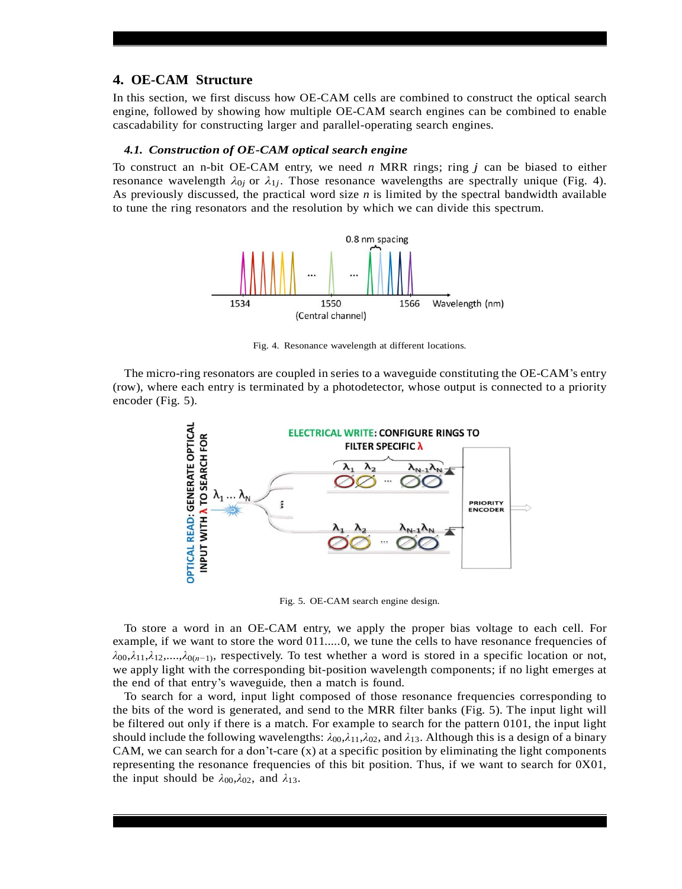## **4. OE-CAM Structure**

In this section, we first discuss how OE-CAM cells are combined to construct the optical search engine, followed by showing how multiple OE-CAM search engines can be combined to enable cascadability for constructing larger and parallel-operating search engines.

#### *4.1. Construction of OE-CAM optical search engine*

To construct an n-bit OE-CAM entry, we need *n* MRR rings; ring *j* can be biased to either resonance wavelength  $\lambda_{0j}$  or  $\lambda_{1j}$ . Those resonance wavelengths are spectrally unique (Fig. 4). As previously discussed, the practical word size *n* is limited by the spectral bandwidth available to tune the ring resonators and the resolution by which we can divide this spectrum.



Fig. 4. Resonance wavelength at different locations.

The micro-ring resonators are coupled in series to a waveguide constituting the OE-CAM's entry (row), where each entry is terminated by a photodetector, whose output is connected to a priority encoder (Fig. 5).



Fig. 5. OE-CAM search engine design.

To store a word in an OE-CAM entry, we apply the proper bias voltage to each cell. For example, if we want to store the word  $011$ .....0, we tune the cells to have resonance frequencies of *λ*00,*λ*11,*λ*12,....,*λ*0(*n−*1) , respectively. To test whether a word is stored in a specific location or not, we apply light with the corresponding bit-position wavelength components; if no light emerges at the end of that entry's waveguide, then a match is found.

To search for a word, input light composed of those resonance frequencies corresponding to the bits of the word is generated, and send to the MRR filter banks (Fig. 5). The input light will be filtered out only if there is a match. For example to search for the pattern 0101, the input light should include the following wavelengths: *λ*00,*λ*11,*λ*02, and *λ*13. Although this is a design of a binary CAM, we can search for a don't-care (x) at a specific position by eliminating the light components representing the resonance frequencies of this bit position. Thus, if we want to search for 0X01, the input should be  $\lambda_{00}$ ,  $\lambda_{02}$ , and  $\lambda_{13}$ .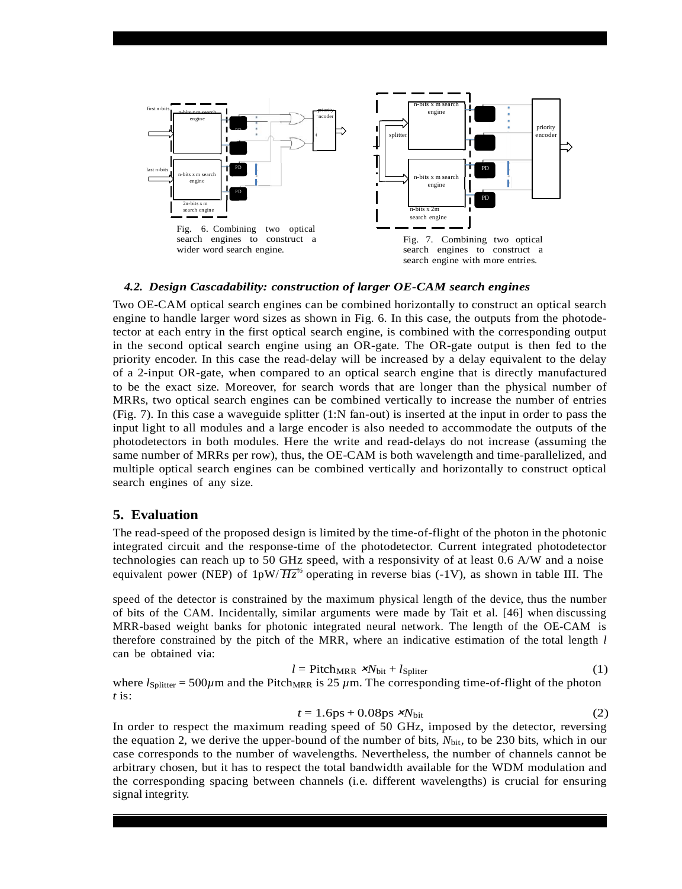

#### *4.2. Design Cascadability: construction of larger OE-CAM search engines*

Two OE-CAM optical search engines can be combined horizontally to construct an optical search engine to handle larger word sizes as shown in Fig. 6. In this case, the outputs from the photodetector at each entry in the first optical search engine, is combined with the corresponding output in the second optical search engine using an OR-gate. The OR-gate output is then fed to the priority encoder. In this case the read-delay will be increased by a delay equivalent to the delay of a 2-input OR-gate, when compared to an optical search engine that is directly manufactured to be the exact size. Moreover, for search words that are longer than the physical number of MRRs, two optical search engines can be combined vertically to increase the number of entries (Fig. 7). In this case a waveguide splitter (1:N fan-out) is inserted at the input in order to pass the input light to all modules and a large encoder is also needed to accommodate the outputs of the photodetectors in both modules. Here the write and read-delays do not increase (assuming the same number of MRRs per row), thus, the OE-CAM is both wavelength and time-parallelized, and multiple optical search engines can be combined vertically and horizontally to construct optical search engines of any size.

#### **5. Evaluation**

The read-speed of the proposed design is limited by the time-of-flight of the photon in the photonic integrated circuit and the response-time of the photodetector. Current integrated photodetector technologies can reach up to 50 GHz speed, with a responsivity of at least 0.6 A/W and a noise equivalent power (NEP) of  $1pW/\overline{Hz}^{1/2}$  operating in reverse bias (-1V), as shown in table III. The

speed of the detector is constrained by the maximum physical length of the device, thus the number of bits of the CAM. Incidentally, similar arguments were made by Tait et al. [46] when discussing MRR-based weight banks for photonic integrated neural network. The length of the OE-CAM is therefore constrained by the pitch of the MRR, where an indicative estimation of the total length *l* can be obtained via:

$$
l = \text{Pitch}_{MRR} \cdot \mathbf{x}N_{\text{bit}} + l_{\text{Spliter}} \tag{1}
$$

where  $l_{\text{Splitter}} = 500 \mu \text{m}$  and the Pitch<sub>MRR</sub> is 25  $\mu$ m. The corresponding time-of-flight of the photon *t* is:

$$
t = 1.6 \text{ps} + 0.08 \text{ps} \times N_{\text{bit}} \tag{2}
$$

In order to respect the maximum reading speed of 50 GHz, imposed by the detector, reversing the equation 2, we derive the upper-bound of the number of bits,  $N_{\text{bit}}$ , to be 230 bits, which in our case corresponds to the number of wavelengths. Nevertheless, the number of channels cannot be arbitrary chosen, but it has to respect the total bandwidth available for the WDM modulation and the corresponding spacing between channels (i.e. different wavelengths) is crucial for ensuring signal integrity.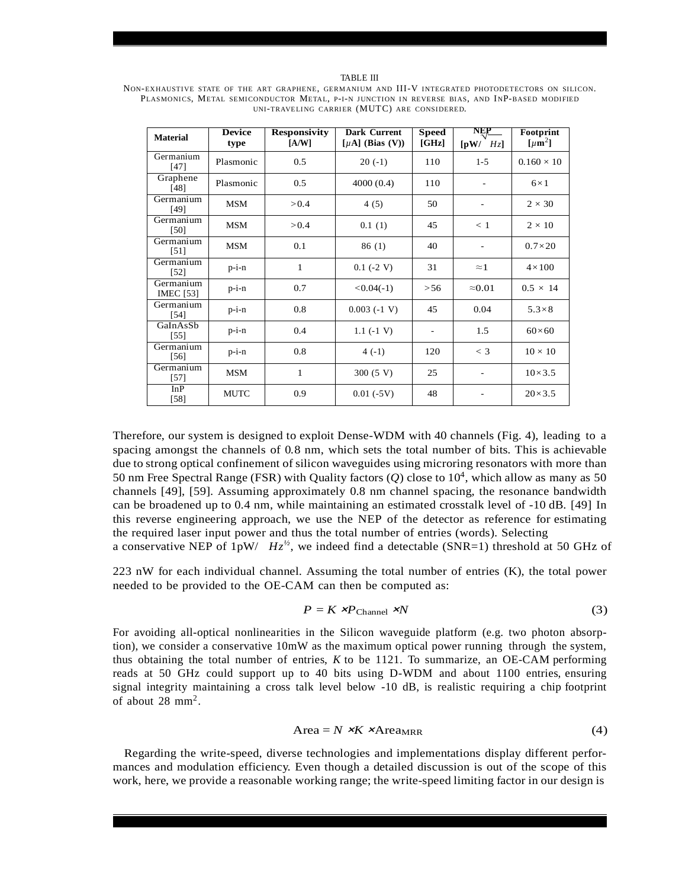NON-EXHAUSTIVE STATE OF THE ART GRAPHENE, GERMANIUM AND III-V INTEGRATED PHOTODETECTORS ON SILICON. PLASMONICS, METAL SEMICONDUCTOR METAL, P-I-N JUNCTION IN REVERSE BIAS, AND INP-BASED MODIFIED UNI-TRAVELING CARRIER (MUTC) ARE CONSIDERED.

| <b>Material</b>               | <b>Device</b><br>type | <b>Responsivity</b><br>[A/W] | <b>Dark Current</b><br>[ $\mu$ A] (Bias (V)) | <b>Speed</b><br>[GHz] | NEP<br>$\sqrt{pW}$<br>Hz | Footprint<br>$\lceil \mu m^2 \rceil$ |
|-------------------------------|-----------------------|------------------------------|----------------------------------------------|-----------------------|--------------------------|--------------------------------------|
| Germanium<br>$[47]$           | Plasmonic             | 0.5                          | $20(-1)$                                     | 110                   | $1 - 5$                  | $0.160 \times 10$                    |
| Graphene<br>[48]              | Plasmonic             | 0.5                          | 4000(0.4)                                    | 110                   |                          | $6\times1$                           |
| Germanium<br>[49]             | MSM                   | > 0.4                        | 4(5)                                         | 50                    |                          | $2 \times 30$                        |
| Germanium<br>[50]             | <b>MSM</b>            | > 0.4                        | 0.1(1)                                       | 45                    | $\leq 1$                 | $2 \times 10$                        |
| Germanium<br>$[51]$           | <b>MSM</b>            | 0.1                          | 86 (1)                                       | 40                    | $\overline{\phantom{a}}$ | $0.7\times20$                        |
| Germanium<br>[52]             | $p-i-n$               | 1                            | $0.1$ (-2 V)                                 | 31                    | $\approx$ 1              | $4\times100$                         |
| Germanium<br><b>IMEC</b> [53] | $p-i-n$               | 0.7                          | $< 0.04(-1)$                                 | > 56                  | $\approx 0.01$           | $0.5 \times 14$                      |
| Germanium<br>[54]             | $p-i-n$               | 0.8                          | $0.003(-1 V)$                                | 45                    | 0.04                     | $5.3\times8$                         |
| GaInAsSb<br>$[55]$            | $p-i-n$               | 0.4                          | $1.1(-1 V)$                                  |                       | 1.5                      | $60\times 60$                        |
| Germanium<br>$[56]$           | $p-i-n$               | 0.8                          | $4(-1)$                                      | 120                   | $<$ 3                    | $10 \times 10$                       |
| Germanium<br>$[57]$           | MSM                   | 1                            | 300(5 V)                                     | 25                    | ٠                        | $10\times3.5$                        |
| InP<br>$[58]$                 | <b>MUTC</b>           | 0.9                          | $0.01(-5V)$                                  | 48                    |                          | $20\times3.5$                        |

Therefore, our system is designed to exploit Dense-WDM with 40 channels (Fig. 4), leading to a spacing amongst the channels of 0*.*8 nm, which sets the total number of bits. This is achievable due to strong optical confinement of silicon waveguides using microring resonators with more than 50 nm Free Spectral Range (FSR) with Quality factors (*Q*) close to 10<sup>4</sup> , which allow as many as 50 channels [49], [59]. Assuming approximately 0.8 nm channel spacing, the resonance bandwidth can be broadened up to 0.4 nm, while maintaining an estimated crosstalk level of -10 dB. [49] In this reverse engineering approach, we use the NEP of the detector as reference for estimating the required laser input power and thus the total number of entries (words). Selecting a conservative NEP of  $1pW$ /  $Hz^{\frac{1}{2}}$ , we indeed find a detectable (SNR=1) threshold at 50 GHz of

223 nW for each individual channel. Assuming the total number of entries (K), the total power needed to be provided to the OE-CAM can then be computed as:

$$
P = K \times P_{\text{Channel}} \times N \tag{3}
$$

For avoiding all-optical nonlinearities in the Silicon waveguide platform (e.g. two photon absorption), we consider a conservative 10mW as the maximum optical power running through the system, thus obtaining the total number of entries, *K* to be 1121. To summarize, an OE-CAM performing reads at 50 GHz could support up to 40 bits using D-WDM and about 1100 entries, ensuring signal integrity maintaining a cross talk level below -10 dB, is realistic requiring a chip footprint of about  $28 \text{ mm}^2$ .

$$
Area = N \times K \times Area_{MRR}
$$
 (4)

Regarding the write-speed, diverse technologies and implementations display different performances and modulation efficiency. Even though a detailed discussion is out of the scope of this work, here, we provide a reasonable working range; the write-speed limiting factor in our design is

#### TABLE III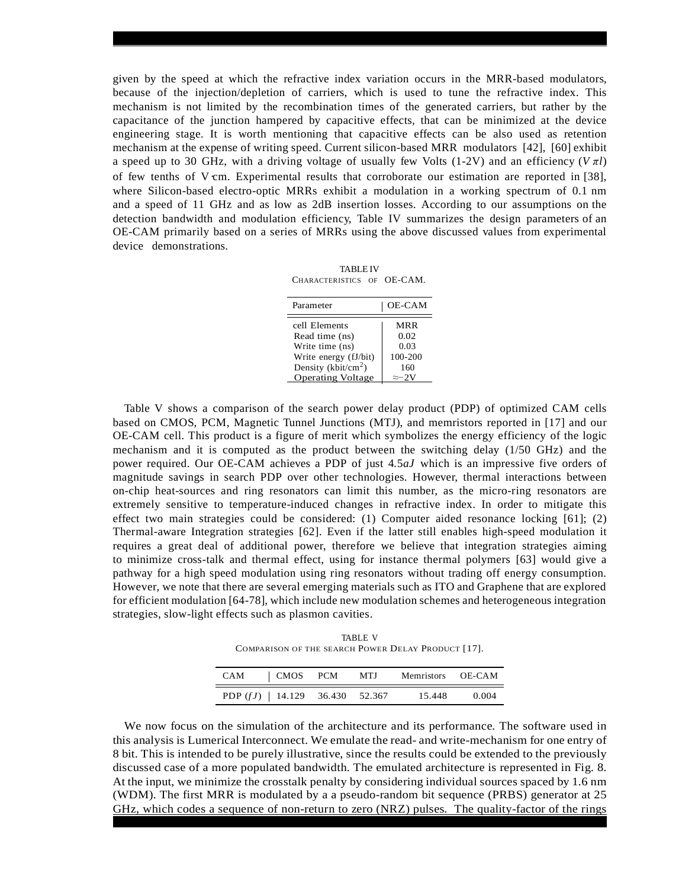given by the speed at which the refractive index variation occurs in the MRR-based modulators, because of the injection/depletion of carriers, which is used to tune the refractive index. This mechanism is not limited by the recombination times of the generated carriers, but rather by the capacitance of the junction hampered by capacitive effects, that can be minimized at the device engineering stage. It is worth mentioning that capacitive effects can be also used as retention mechanism at the expense of writing speed. Current silicon-based MRR modulators [42], [60] exhibit a speed up to 30 GHz, with a driving voltage of usually few Volts (1-2V) and an efficiency (*V πl*) of few tenths of V cm. Experimental results that corroborate our estimation are reported in [38], where Silicon-based electro-optic MRRs exhibit a modulation in a working spectrum of 0.1 nm and a speed of 11 GHz and as low as 2dB insertion losses. According to our assumptions on the detection bandwidth and modulation efficiency, Table IV summarizes the design parameters of an OE-CAM primarily based on a series of MRRs using the above discussed values from experimental device demonstrations.

TABLE IV CHARACTERISTICS OF OE-CAM.

| Parameter                | <b>OE-CAM</b> |
|--------------------------|---------------|
| cell Elements            | MRR           |
| Read time (ns)           | 0.02          |
| Write time (ns)          | 0.03          |
| Write energy (fJ/bit)    | 100-200       |
| Density ( $kbit/cm2$ )   | 160           |
| <b>Operating Voltage</b> | $\approx$ -2V |

Table V shows a comparison of the search power delay product (PDP) of optimized CAM cells based on CMOS, PCM, Magnetic Tunnel Junctions (MTJ), and memristors reported in [17] and our OE-CAM cell. This product is a figure of merit which symbolizes the energy efficiency of the logic mechanism and it is computed as the product between the switching delay (1/50 GHz) and the power required. Our OE-CAM achieves a PDP of just 4*.*5*aJ* which is an impressive five orders of magnitude savings in search PDP over other technologies. However, thermal interactions between on-chip heat-sources and ring resonators can limit this number, as the micro-ring resonators are extremely sensitive to temperature-induced changes in refractive index. In order to mitigate this effect two main strategies could be considered: (1) Computer aided resonance locking [61]; (2) Thermal-aware Integration strategies [62]. Even if the latter still enables high-speed modulation it requires a great deal of additional power, therefore we believe that integration strategies aiming to minimize cross-talk and thermal effect, using for instance thermal polymers [63] would give a pathway for a high speed modulation using ring resonators without trading off energy consumption. However, we note that there are several emerging materials such as ITO and Graphene that are explored for efficient modulation [64-78], which include new modulation schemes and heterogeneous integration strategies, slow-light effects such as plasmon cavities.

TABLE V COMPARISON OF THE SEARCH POWER DELAY PRODUCT [17].

| CAM | $\vert$ CMOS PCM                  | - MTJ | Memristors OE-CAM |       |
|-----|-----------------------------------|-------|-------------------|-------|
|     | PDP $(fJ)$   14.129 36.430 52.367 |       | 15.448            | 0.004 |

We now focus on the simulation of the architecture and its performance. The software used in this analysis is Lumerical Interconnect. We emulate the read- and write-mechanism for one entry of 8 bit. This is intended to be purely illustrative, since the results could be extended to the previously discussed case of a more populated bandwidth. The emulated architecture is represented in Fig. 8. At the input, we minimize the crosstalk penalty by considering individual sources spaced by 1.6 nm (WDM). The first MRR is modulated by a a pseudo-random bit sequence (PRBS) generator at 25 GHz, which codes a sequence of non-return to zero (NRZ) pulses. The quality-factor of the rings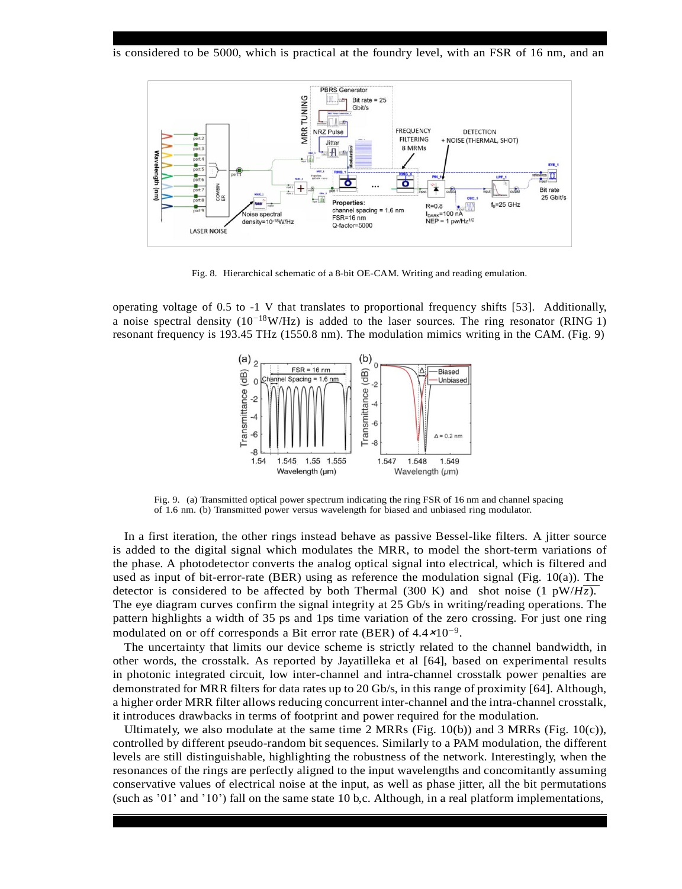is considered to be 5000, which is practical at the foundry level, with an FSR of 16 nm, and an



Fig. 8. Hierarchical schematic of a 8-bit OE-CAM. Writing and reading emulation.

operating voltage of 0.5 to -1 V that translates to proportional frequency shifts [53]. Additionally, a noise spectral density (10*<sup>−</sup>*<sup>18</sup>W/Hz) is added to the laser sources. The ring resonator (RING 1) resonant frequency is 193.45 THz (1550.8 nm). The modulation mimics writing in the CAM. (Fig. 9)



Fig. 9. (a) Transmitted optical power spectrum indicating the ring FSR of 16 nm and channel spacing of 1.6 nm. (b) Transmitted power versus wavelength for biased and unbiased ring modulator.

In a first iteration, the other rings instead behave as passive Bessel-like filters. A jitter source is added to the digital signal which modulates the MRR, to model the short-term variations of the phase. A photodetector converts the analog optical signal into electrical, which is filtered and used as input of bit-error-rate (BER) using as reference the modulation signal (Fig. 10(a)). The detector is considered to be affected by both Thermal (300 K) and shot noise (1  $pW/Hz$ ). The eye diagram curves confirm the signal integrity at 25 Gb/s in writing/reading operations. The pattern highlights a width of 35 ps and 1ps time variation of the zero crossing. For just one ring modulated on or off corresponds a Bit error rate (BER) of 4.4×10*−*<sup>9</sup> .

The uncertainty that limits our device scheme is strictly related to the channel bandwidth, in other words, the crosstalk. As reported by Jayatilleka et al [64], based on experimental results in photonic integrated circuit, low inter-channel and intra-channel crosstalk power penalties are demonstrated for MRR filters for data rates up to 20 Gb/s, in this range of proximity [64]. Although, a higher order MRR filter allows reducing concurrent inter-channel and the intra-channel crosstalk, it introduces drawbacks in terms of footprint and power required for the modulation.

Ultimately, we also modulate at the same time 2 MRRs (Fig. 10(b)) and 3 MRRs (Fig. 10(c)), controlled by different pseudo-random bit sequences. Similarly to a PAM modulation, the different levels are still distinguishable, highlighting the robustness of the network. Interestingly, when the resonances of the rings are perfectly aligned to the input wavelengths and concomitantly assuming conservative values of electrical noise at the input, as well as phase jitter, all the bit permutations (such as '01' and '10') fall on the same state 10 b,c. Although, in a real platform implementations,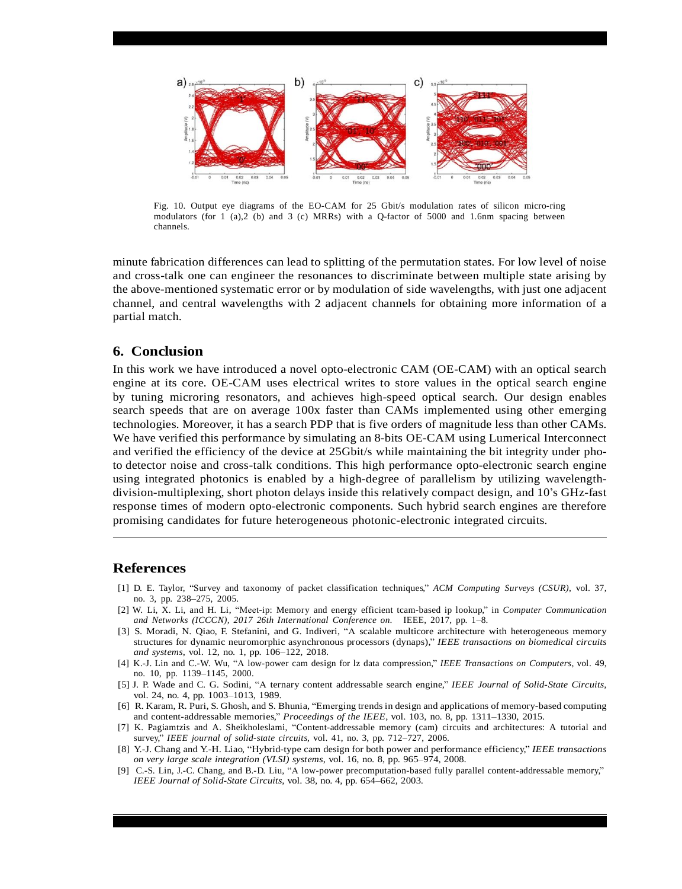

Fig. 10. Output eye diagrams of the EO-CAM for 25 Gbit/s modulation rates of silicon micro-ring modulators (for 1 (a),2 (b) and 3 (c) MRRs) with a Q-factor of 5000 and 1.6nm spacing between channels.

minute fabrication differences can lead to splitting of the permutation states. For low level of noise and cross-talk one can engineer the resonances to discriminate between multiple state arising by the above-mentioned systematic error or by modulation of side wavelengths, with just one adjacent channel, and central wavelengths with 2 adjacent channels for obtaining more information of a partial match.

# **6. Conclusion**

In this work we have introduced a novel opto-electronic CAM (OE-CAM) with an optical search engine at its core. OE-CAM uses electrical writes to store values in the optical search engine by tuning microring resonators, and achieves high-speed optical search. Our design enables search speeds that are on average 100x faster than CAMs implemented using other emerging technologies. Moreover, it has a search PDP that is five orders of magnitude less than other CAMs. We have verified this performance by simulating an 8-bits OE-CAM using Lumerical Interconnect and verified the efficiency of the device at 25Gbit/s while maintaining the bit integrity under photo detector noise and cross-talk conditions. This high performance opto-electronic search engine using integrated photonics is enabled by a high-degree of parallelism by utilizing wavelengthdivision-multiplexing, short photon delays inside this relatively compact design, and 10's GHz-fast response times of modern opto-electronic components. Such hybrid search engines are therefore promising candidates for future heterogeneous photonic-electronic integrated circuits.

#### **References**

- [1] D. E. Taylor, "Survey and taxonomy of packet classification techniques," *ACM Computing Surveys (CSUR)*, vol. 37, no. 3, pp. 238–275, 2005.
- [2] W. Li, X. Li, and H. Li, "Meet-ip: Memory and energy efficient tcam-based ip lookup," in *Computer Communication and Networks (ICCCN), 2017 26th International Conference on*. IEEE, 2017, pp. 1–8.
- [3] S. Moradi, N. Qiao, F. Stefanini, and G. Indiveri, "A scalable multicore architecture with heterogeneous memory structures for dynamic neuromorphic asynchronous processors (dynaps)," *IEEE transactions on biomedical circuits and systems*, vol. 12, no. 1, pp. 106–122, 2018.
- [4] K.-J. Lin and C.-W. Wu, "A low-power cam design for lz data compression," *IEEE Transactions on Computers*, vol. 49, no. 10, pp. 1139–1145, 2000.
- [5] J. P. Wade and C. G. Sodini, "A ternary content addressable search engine," *IEEE Journal of Solid-State Circuits*, vol. 24, no. 4, pp. 1003–1013, 1989.
- [6] R. Karam, R. Puri, S. Ghosh, and S. Bhunia, "Emerging trends in design and applications of memory-based computing and content-addressable memories," *Proceedings of the IEEE*, vol. 103, no. 8, pp. 1311–1330, 2015.
- [7] K. Pagiamtzis and A. Sheikholeslami, "Content-addressable memory (cam) circuits and architectures: A tutorial and survey," *IEEE journal of solid-state circuits*, vol. 41, no. 3, pp. 712–727, 2006.
- [8] Y.-J. Chang and Y.-H. Liao, "Hybrid-type cam design for both power and performance efficiency," *IEEE transactions on very large scale integration (VLSI) systems*, vol. 16, no. 8, pp. 965–974, 2008.
- [9] C.-S. Lin, J.-C. Chang, and B.-D. Liu, "A low-power precomputation-based fully parallel content-addressable memory," *IEEE Journal of Solid-State Circuits*, vol. 38, no. 4, pp. 654–662, 2003.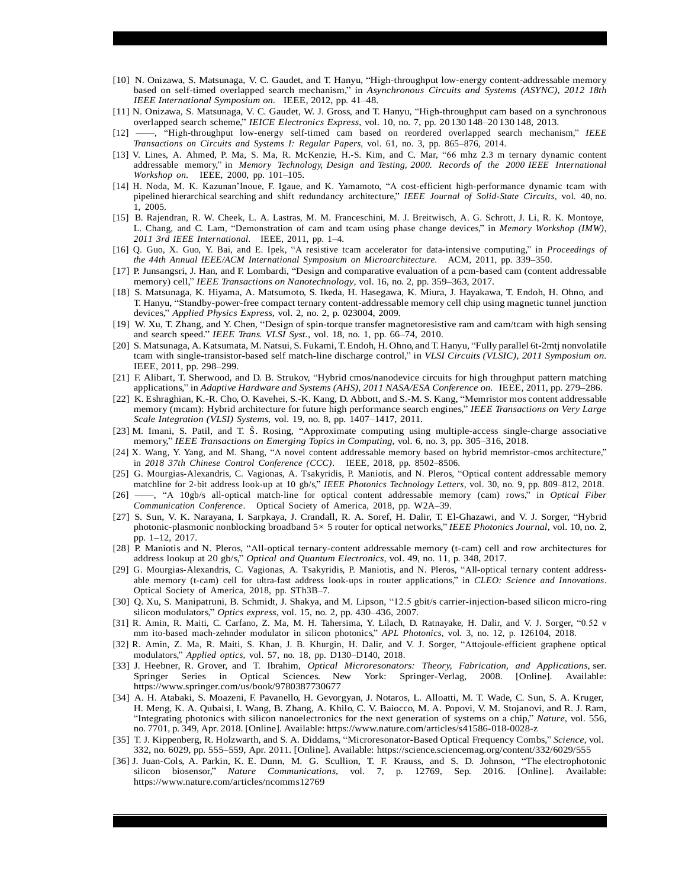- [10] N. Onizawa, S. Matsunaga, V. C. Gaudet, and T. Hanyu, "High-throughput low-energy content-addressable memory based on self-timed overlapped search mechanism," in *Asynchronous Circuits and Systems (ASYNC), 2012 18th IEEE International Symposium on*. IEEE, 2012, pp. 41–48.
- [11] N. Onizawa, S. Matsunaga, V. C. Gaudet, W. J. Gross, and T. Hanyu, "High-throughput cam based on a synchronous overlapped search scheme," *IEICE Electronics Express*, vol. 10, no. 7, pp. 20 130 148–20 130 148, 2013.
- [12] ——, "High-throughput low-energy self-timed cam based on reordered overlapped search mechanism," *IEEE Transactions on Circuits and Systems I: Regular Papers*, vol. 61, no. 3, pp. 865–876, 2014.
- [13] V. Lines, A. Ahmed, P. Ma, S. Ma, R. McKenzie, H.-S. Kim, and C. Mar, "66 mhz 2.3 m ternary dynamic content addressable memory," in *Memory Technology, Design and Testing, 2000. Records of the 2000 IEEE International Workshop on*. IEEE, 2000, pp. 101–105.
- [14] H. Noda, M. K. Kazunan'Inoue, F. Igaue, and K. Yamamoto, "A cost-efficient high-performance dynamic tcam with pipelined hierarchical searching and shift redundancy architecture," *IEEE Journal of Solid-State Circuits*, vol. 40, no. 1, 2005.
- [15] B. Rajendran, R. W. Cheek, L. A. Lastras, M. M. Franceschini, M. J. Breitwisch, A. G. Schrott, J. Li, R. K. Montoye, L. Chang, and C. Lam, "Demonstration of cam and tcam using phase change devices," in *Memory Workshop (IMW), 2011 3rd IEEE International*. IEEE, 2011, pp. 1–4.
- [16] Q. Guo, X. Guo, Y. Bai, and E. Ipek, "A resistive tcam accelerator for data-intensive computing," in *Proceedings of the 44th Annual IEEE/ACM International Symposium on Microarchitecture*. ACM, 2011, pp. 339–350.
- [17] P. Junsangsri, J. Han, and F. Lombardi, "Design and comparative evaluation of a pcm-based cam (content addressable memory) cell," *IEEE Transactions on Nanotechnology*, vol. 16, no. 2, pp. 359–363, 2017.
- [18] S. Matsunaga, K. Hiyama, A. Matsumoto, S. Ikeda, H. Hasegawa, K. Miura, J. Hayakawa, T. Endoh, H. Ohno, and T. Hanyu, "Standby-power-free compact ternary content-addressable memory cell chip using magnetic tunnel junction devices," *Applied Physics Express*, vol. 2, no. 2, p. 023004, 2009.
- [19] W. Xu, T. Zhang, and Y. Chen, "Design of spin-torque transfer magnetoresistive ram and cam/tcam with high sensing and search speed." *IEEE Trans. VLSI Syst.*, vol. 18, no. 1, pp. 66–74, 2010.
- [20] S. Matsunaga, A. Katsumata, M. Natsui, S. Fukami, T. Endoh, H. Ohno, and T. Hanyu, "Fully parallel 6t-2mtj nonvolatile tcam with single-transistor-based self match-line discharge control," in *VLSI Circuits (VLSIC), 2011 Symposium on*. IEEE, 2011, pp. 298–299.
- [21] F. Alibart, T. Sherwood, and D. B. Strukov, "Hybrid cmos/nanodevice circuits for high throughput pattern matching applications," in *Adaptive Hardware and Systems (AHS), 2011 NASA/ESA Conference on*. IEEE, 2011, pp. 279–286.
- [22] K. Eshraghian, K.-R. Cho, O. Kavehei, S.-K. Kang, D. Abbott, and S.-M. S. Kang, "Memristor mos content addressable memory (mcam): Hybrid architecture for future high performance search engines," *IEEE Transactions on Very Large Scale Integration (VLSI) Systems*, vol. 19, no. 8, pp. 1407–1417, 2011.
- [23] M. Imani, S. Patil, and T. Š. Rosing, "Approximate computing using multiple-access single-charge associative memory," *IEEE Transactions on Emerging Topics in Computing*, vol. 6, no. 3, pp. 305–316, 2018.
- [24] X. Wang, Y. Yang, and M. Shang, "A novel content addressable memory based on hybrid memristor-cmos architecture," in *2018 37th Chinese Control Conference (CCC)*. IEEE, 2018, pp. 8502–8506.
- [25] G. Mourgias-Alexandris, C. Vagionas, A. Tsakyridis, P. Maniotis, and N. Pleros, "Optical content addressable memory matchline for 2-bit address look-up at 10 gb/s," *IEEE Photonics Technology Letters*, vol. 30, no. 9, pp. 809–812, 2018.
- [26] ——, "A 10gb/s all-optical match-line for optical content addressable memory (cam) rows," in *Optical Fiber Communication Conference*. Optical Society of America, 2018, pp. W2A–39.
- [27] S. Sun, V. K. Narayana, I. Sarpkaya, J. Crandall, R. A. Soref, H. Dalir, T. El-Ghazawi, and V. J. Sorger, "Hybrid photonic-plasmonic nonblocking broadband 5*×* 5 router for optical networks," *IEEE Photonics Journal*, vol. 10, no. 2, pp. 1–12, 2017.
- [28] P. Maniotis and N. Pleros, "All-optical ternary-content addressable memory (t-cam) cell and row architectures for address lookup at 20 gb/s," *Optical and Quantum Electronics*, vol. 49, no. 11, p. 348, 2017.
- [29] G. Mourgias-Alexandris, C. Vagionas, A. Tsakyridis, P. Maniotis, and N. Pleros, "All-optical ternary content addressable memory (t-cam) cell for ultra-fast address look-ups in router applications," in *CLEO: Science and Innovations*. Optical Society of America, 2018, pp. STh3B–7.
- [30] Q. Xu, S. Manipatruni, B. Schmidt, J. Shakya, and M. Lipson, "12.5 gbit/s carrier-injection-based silicon micro-ring silicon modulators," *Optics express*, vol. 15, no. 2, pp. 430–436, 2007.
- [31] R. Amin, R. Maiti, C. Carfano, Z. Ma, M. H. Tahersima, Y. Lilach, D. Ratnayake, H. Dalir, and V. J. Sorger, "0.52 v mm ito-based mach-zehnder modulator in silicon photonics," *APL Photonics*, vol. 3, no. 12, p. 126104, 2018.
- [32] R. Amin, Z. Ma, R. Maiti, S. Khan, J. B. Khurgin, H. Dalir, and V. J. Sorger, "Attojoule-efficient graphene optical modulators," *Applied optics*, vol. 57, no. 18, pp. D130–D140, 2018.
- [33] J. Heebner, R. Grover, and T. Ibrahim, *Optical Microresonators: Theory, Fabrication, and Applications*, ser. Springer Series in Optical Sciences. New York: Springer-Verlag, 2008. [Online]. Available: [https://www.s](http://www.springer.com/us/book/9780387730677)p[ringer.com/us/book/9780387730677](http://www.springer.com/us/book/9780387730677)
- [34] A. H. Atabaki, S. Moazeni, F. Pavanello, H. Gevorgyan, J. Notaros, L. Alloatti, M. T. Wade, C. Sun, S. A. Kruger, H. Meng, K. A. Qubaisi, I. Wang, B. Zhang, A. Khilo, C. V. Baiocco, M. A. Popovi, V. M. Stojanovi, and R. J. Ram, "Integrating photonics with silicon nanoelectronics for the next generation of systems on a chip," *Nature*, vol. 556, no. 7701, p. 349, Apr. 2018. [Online]. Available: [https://www.](http://www.nature.com/articles/s41586-018-0028-z)natur[e.com/articles/s41586-018-0028-z](http://www.nature.com/articles/s41586-018-0028-z)
- [35] T. J. Kippenberg, R. Holzwarth, and S. A. Diddams, "Microresonator-Based Optical Frequency Combs," *Science*, vol. 332, no. 6029, pp. 555–559, Apr. 2011. [Online]. Available: https://science.sciencemag.org/content/332/6029/555
- [36] J. Juan-Cols, A. Parkin, K. E. Dunn, M. G. Scullion, T. F. Krauss, and S. D. Johnson, "The electrophotonic silicon biosensor," *Nature Communications*, vol. 7, p. 12769, Sep. 2016. [Online]. Available: [https://www.n](http://www.nature.com/articles/ncomms12769)atur[e.com/articles/ncomms12769](http://www.nature.com/articles/ncomms12769)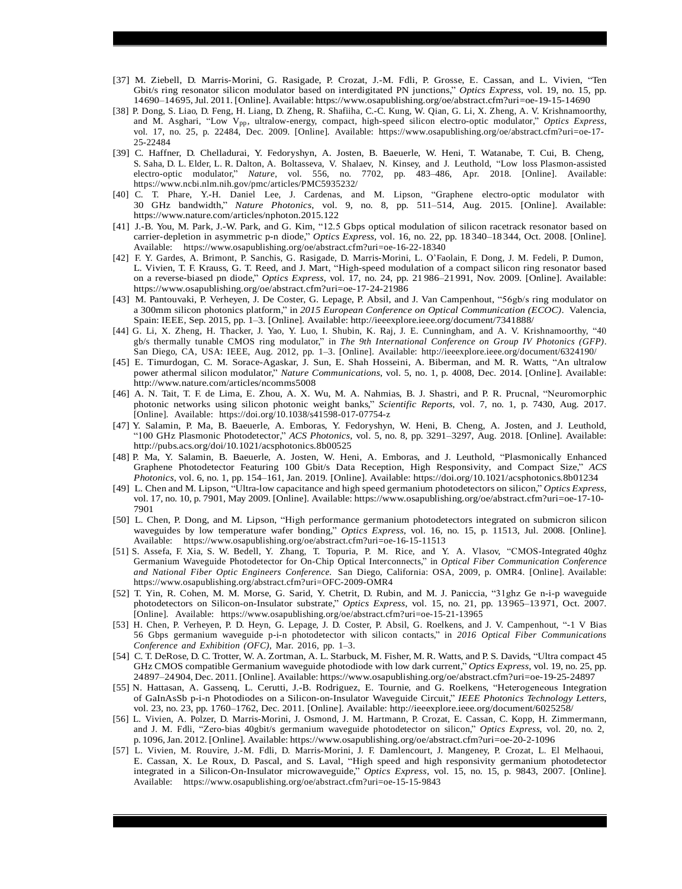- [37] M. Ziebell, D. Marris-Morini, G. Rasigade, P. Crozat, J.-M. Fdli, P. Grosse, E. Cassan, and L. Vivien, "Ten Gbit/s ring resonator silicon modulator based on interdigitated PN junctions," *Optics Express*, vol. 19, no. 15, pp. 14690–14695,Jul. 2011. [Online]. Available: [https://www.](http://www.osapublishing.org/oe/abstract.cfm?uri=oe-19-15-14690)osapu[blishing.org/oe/abstract.cfm?uri=oe-19-15-14690](http://www.osapublishing.org/oe/abstract.cfm?uri=oe-19-15-14690)
- [38] P. Dong, S. Liao, D. Feng, H. Liang, D. Zheng, R. Shafiiha, C.-C. Kung, W. Qian, G. Li, X. Zheng, A. V. Krishnamoorthy, and M. Asghari, "Low Vpp, ultralow-energy, compact, high-speed silicon electro-optic modulator," *Optics Express*, vol. 17, no. 25, p. 22484, Dec. 2009. [Online]. Available: [https://www.](http://www.osapublishing.org/oe/abstract.cfm?uri=oe-17-)osapu[blishing.org/oe/abstract.cfm?uri=oe-17-](http://www.osapublishing.org/oe/abstract.cfm?uri=oe-17-) 25-22484
- [39] C. Haffner, D. Chelladurai, Y. Fedoryshyn, A. Josten, B. Baeuerle, W. Heni, T. Watanabe, T. Cui, B. Cheng, S. Saha, D. L. Elder, L. R. Dalton, A. Boltasseva, V. Shalaev, N. Kinsey, and J. Leuthold, "Low loss Plasmon-assisted electro-optic modulator," *Nature*, vol. 556, no. 7702, pp. 483–486, Apr. 2018. [Online]. Available: [https://www.ncbi.nlm.nih.gov](http://www.ncbi.nlm.nih.gov/pmc/articles/PMC5935232/)/pmc/a[rticles/PMC5935232/](http://www.ncbi.nlm.nih.gov/pmc/articles/PMC5935232/)
- [40] C. T. Phare, Y.-H. Daniel Lee, J. Cardenas, and M. Lipson, "Graphene electro-optic modulator with 30 GHz bandwidth," *Nature Photonics*, vol. 9, no. 8, pp. 511–514, Aug. 2015. [Online]. Available: [https://www.n](http://www.nature.com/articles/nphoton.2015.122)atur[e.com/articles/nphoton.2015.122](http://www.nature.com/articles/nphoton.2015.122)
- [41] J.-B. You, M. Park, J.-W. Park, and G. Kim, "12.5 Gbps optical modulation of silicon racetrack resonator based on carrier-depletion in asymmetric p-n diode," *Optics Express*, vol. 16, no. 22, pp. 18 340–18 344, Oct. 2008. [Online]. Available: [https://www.](http://www.osapublishing.org/oe/abstract.cfm?uri=oe-16-22-18340)osapu[blishing.org/oe/abstract.cfm?uri=oe-16-22-18340](http://www.osapublishing.org/oe/abstract.cfm?uri=oe-16-22-18340)
- [42] F. Y. Gardes, A. Brimont, P. Sanchis, G. Rasigade, D. Marris-Morini, L. O'Faolain, F. Dong, J. M. Fedeli, P. Dumon, L. Vivien, T. F. Krauss, G. T. Reed, and J. Mart, "High-speed modulation of a compact silicon ring resonator based on a reverse-biased pn diode," *Optics Express*, vol. 17, no. 24, pp. 21 986–21 991, Nov. 2009. [Online]. Available: [https://www.o](http://www.osapublishing.org/oe/abstract.cfm?uri=oe-17-24-21986)sapu[blishing.org/oe/abstract.cfm?uri=oe-17-24-21986](http://www.osapublishing.org/oe/abstract.cfm?uri=oe-17-24-21986)
- [43] M. Pantouvaki, P. Verheyen, J. De Coster, G. Lepage, P. Absil, and J. Van Campenhout, "56gb/s ring modulator on a 300mm silicon photonics platform," in *2015 European Conference on Optical Communication (ECOC)*. Valencia, Spain: IEEE, Sep. 2015, pp. 1–3. [Online]. Available: <http://ieeexplore.ieee.org/document/7341888/>
- [44] G. Li, X. Zheng, H. Thacker, J. Yao, Y. Luo, I. Shubin, K. Raj, J. E. Cunningham, and A. V. Krishnamoorthy, "40 gb/s thermally tunable CMOS ring modulator," in *The 9th International Conference on Group IV Photonics (GFP)*. San Diego, CA, USA: IEEE, Aug. 2012, pp. 1–3. [Online]. Available: <http://ieeexplore.ieee.org/document/6324190/>
- [45] E. Timurdogan, C. M. Sorace-Agaskar, J. Sun, E. Shah Hosseini, A. Biberman, and M. R. Watts, "An ultralow power athermal silicon modulator," *Nature Communications*, vol. 5, no. 1, p. 4008, Dec. 2014. [Online]. Available: <http://www.nature.com/articles/ncomms5008>
- [46] A. N. Tait, T. F. de Lima, E. Zhou, A. X. Wu, M. A. Nahmias, B. J. Shastri, and P. R. Prucnal, "Neuromorphic photonic networks using silicon photonic weight banks," *Scientific Reports*, vol. 7, no. 1, p. 7430, Aug. 2017. [Online]. Available: https://doi.org/10.1038/s41598-017-07754-z
- [47] Y. Salamin, P. Ma, B. Baeuerle, A. Emboras, Y. Fedoryshyn, W. Heni, B. Cheng, A. Josten, and J. Leuthold, "100 GHz Plasmonic Photodetector," *ACS Photonics*, vol. 5, no. 8, pp. 3291–3297, Aug. 2018. [Online]. Available: <http://pubs.acs.org/doi/10.1021/acsphotonics.8b00525>
- [48] P. Ma, Y. Salamin, B. Baeuerle, A. Josten, W. Heni, A. Emboras, and J. Leuthold, "Plasmonically Enhanced Graphene Photodetector Featuring 100 Gbit/s Data Reception, High Responsivity, and Compact Size," *ACS Photonics*, vol. 6, no. 1, pp. 154–161, Jan. 2019. [Online]. Available: https://doi.org/10.1021/acsphotonics.8b01234
- [49] L. Chen and M. Lipson, "Ultra-low capacitance and high speed germanium photodetectors on silicon," *Optics Express*, vol. 17, no. 10, p. 7901, May 2009. [Online]. Available: [https://www.](http://www.osapublishing.org/oe/abstract.cfm?uri=oe-17-10-)osapu[blishing.org/oe/abstract.cfm?uri=oe-17-10-](http://www.osapublishing.org/oe/abstract.cfm?uri=oe-17-10-) 7901
- [50] L. Chen, P. Dong, and M. Lipson, "High performance germanium photodetectors integrated on submicron silicon waveguides by low temperature wafer bonding," *Optics Express*, vol. 16, no. 15, p. 11513, Jul. 2008. [Online]. Available: [https://www.](http://www.osapublishing.org/oe/abstract.cfm?uri=oe-16-15-11513)osapu[blishing.org/oe/abstract.cfm?uri=oe-16-15-11513](http://www.osapublishing.org/oe/abstract.cfm?uri=oe-16-15-11513)
- [51] S. Assefa, F. Xia, S. W. Bedell, Y. Zhang, T. Topuria, P. M. Rice, and Y. A. Vlasov, "CMOS-Integrated 40ghz Germanium Waveguide Photodetector for On-Chip Optical Interconnects," in *Optical Fiber Communication Conference and National Fiber Optic Engineers Conference*. San Diego, California: OSA, 2009, p. OMR4. [Online]. Available: [https://www.o](http://www.osapublishing.org/abstract.cfm?uri=OFC-2009-OMR4)sapu[blishing.org/abstract.cfm?uri=OFC-2009-OMR4](http://www.osapublishing.org/abstract.cfm?uri=OFC-2009-OMR4)
- [52] T. Yin, R. Cohen, M. M. Morse, G. Sarid, Y. Chetrit, D. Rubin, and M. J. Paniccia, "31ghz Ge n-i-p waveguide photodetectors on Silicon-on-Insulator substrate," *Optics Express*, vol. 15, no. 21, pp. 13 965–13 971, Oct. 2007. [Online]. Available: [https://www.o](http://www.osapublishing.org/oe/abstract.cfm?uri=oe-15-21-13965)sapu[blishing.org/oe/abstract.cfm?uri=oe-15-21-13965](http://www.osapublishing.org/oe/abstract.cfm?uri=oe-15-21-13965)
- [53] H. Chen, P. Verheyen, P. D. Heyn, G. Lepage, J. D. Coster, P. Absil, G. Roelkens, and J. V. Campenhout, "-1 V Bias 56 Gbps germanium waveguide p-i-n photodetector with silicon contacts," in *2016 Optical Fiber Communications Conference and Exhibition (OFC)*, Mar. 2016, pp. 1–3.
- [54] C. T. DeRose, D. C. Trotter, W. A. Zortman, A. L. Starbuck, M. Fisher, M. R. Watts, and P. S. Davids, "Ultra compact 45 GHz CMOS compatible Germanium waveguide photodiode with low dark current," *Optics Express*, vol. 19, no. 25, pp. 24897–24904, Dec. 2011. [Online]. Available: [https://www.](http://www.osapublishing.org/oe/abstract.cfm?uri=oe-19-25-24897)osapu[blishing.org/oe/abstract.cfm?uri=oe-19-25-24897](http://www.osapublishing.org/oe/abstract.cfm?uri=oe-19-25-24897)
- [55] N. Hattasan, A. Gassenq, L. Cerutti, J.-B. Rodriguez, E. Tournie, and G. Roelkens, "Heterogeneous Integration of GaInAsSb p-i-n Photodiodes on a Silicon-on-Insulator Waveguide Circuit," *IEEE Photonics Technology Letters*, vol. 23, no. 23, pp. 1760–1762, Dec. 2011. [Online]. Available: <http://ieeexplore.ieee.org/document/6025258/>
- [56] L. Vivien, A. Polzer, D. Marris-Morini, J. Osmond, J. M. Hartmann, P. Crozat, E. Cassan, C. Kopp, H. Zimmermann, and J. M. Fdli, "Zero-bias 40gbit/s germanium waveguide photodetector on silicon," *Optics Express*, vol. 20, no. 2, p. 1096,Jan. 2012. [Online]. Available: [https://www.](http://www.osapublishing.org/oe/abstract.cfm?uri=oe-20-2-1096)osapu[blishing.org/oe/abstract.cfm?uri=oe-20-2-1096](http://www.osapublishing.org/oe/abstract.cfm?uri=oe-20-2-1096)
- [57] L. Vivien, M. Rouvire, J.-M. Fdli, D. Marris-Morini, J. F. Damlencourt, J. Mangeney, P. Crozat, L. El Melhaoui, E. Cassan, X. Le Roux, D. Pascal, and S. Laval, "High speed and high responsivity germanium photodetector integrated in a Silicon-On-Insulator microwaveguide," *Optics Express*, vol. 15, no. 15, p. 9843, 2007. [Online]. Available: [https://www.](http://www.osapublishing.org/oe/abstract.cfm?uri=oe-15-15-9843)osapu[blishing.org/oe/abstract.cfm?uri=oe-15-15-9843](http://www.osapublishing.org/oe/abstract.cfm?uri=oe-15-15-9843)